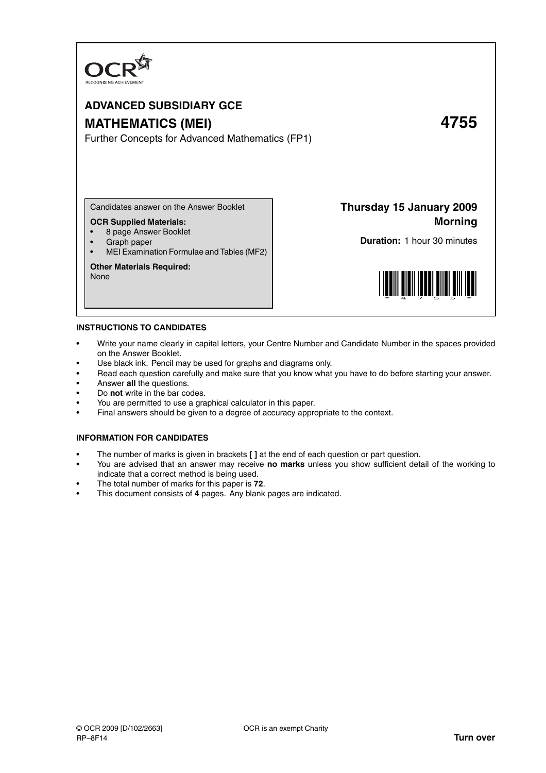

# **ADVANCED SUBSIDIARY GCE MATHEMATICS (MEI) 4755**

Further Concepts for Advanced Mathematics (FP1)

Candidates answer on the Answer Booklet

#### **OCR Supplied Materials:**

- 8 page Answer Booklet
- Graph paper
- MEI Examination Formulae and Tables (MF2)

# **Other Materials Required:**

None

**Thursday 15 January 2009 Morning**

**Duration:** 1 hour 30 minutes



#### **INSTRUCTIONS TO CANDIDATES**

- Write your name clearly in capital letters, your Centre Number and Candidate Number in the spaces provided on the Answer Booklet.
- Use black ink. Pencil may be used for graphs and diagrams only.
- Read each question carefully and make sure that you know what you have to do before starting your answer.
- Answer **all** the questions.
- Do **not** write in the bar codes.
- You are permitted to use a graphical calculator in this paper.
- Final answers should be given to a degree of accuracy appropriate to the context.

#### **INFORMATION FOR CANDIDATES**

- The number of marks is given in brackets **[ ]** at the end of each question or part question.
- You are advised that an answer may receive **no marks** unless you show sufficient detail of the working to indicate that a correct method is being used.
- The total number of marks for this paper is **72**.
- This document consists of **4** pages. Any blank pages are indicated.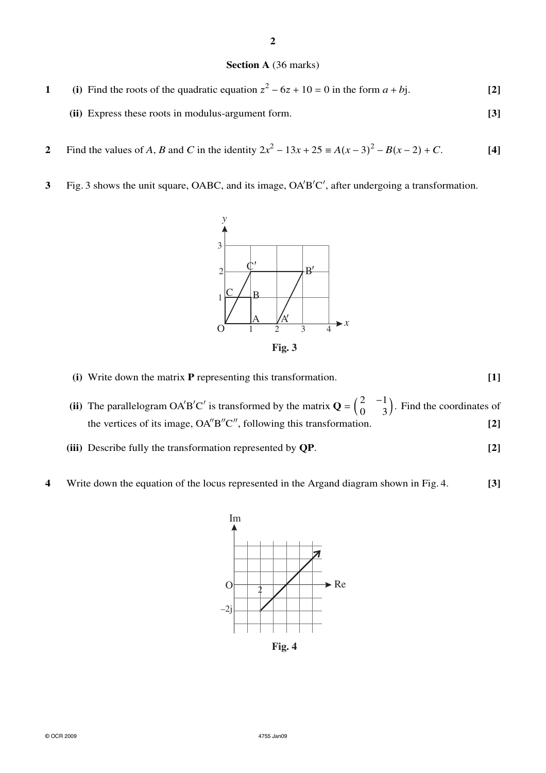### **Section A** (36 marks)

- **1** (i) Find the roots of the quadratic equation  $z^2 6z + 10 = 0$  in the form  $a + bj$ . [2]
	- **(ii)** Express these roots in modulus-argument form. **[3]**
- **2** Find the values of *A*, *B* and *C* in the identity  $2x^2 13x + 25 \equiv A(x-3)^2 B(x-2) + C$ . [4]
- **3** Fig. 3 shows the unit square, OABC, and its image, OA'B'C', after undergoing a transformation.



**(i)** Write down the matrix **P** representing this transformation. **[1]**

(ii) The parallelogram OA'B'C' is transformed by the matrix  $\mathbf{Q} = \begin{pmatrix} 2 & -1 \\ 0 & 3 \end{pmatrix}$ . Find the coordinates of the vertices of its image,  $OA''B''C''$ , following this transformation.  $[2]$ 

- **(iii)** Describe fully the transformation represented by **QP**. **[2]**
- **4** Write down the equation of the locus represented in the Argand diagram shown in Fig. 4. **[3]**



**Fig. 4**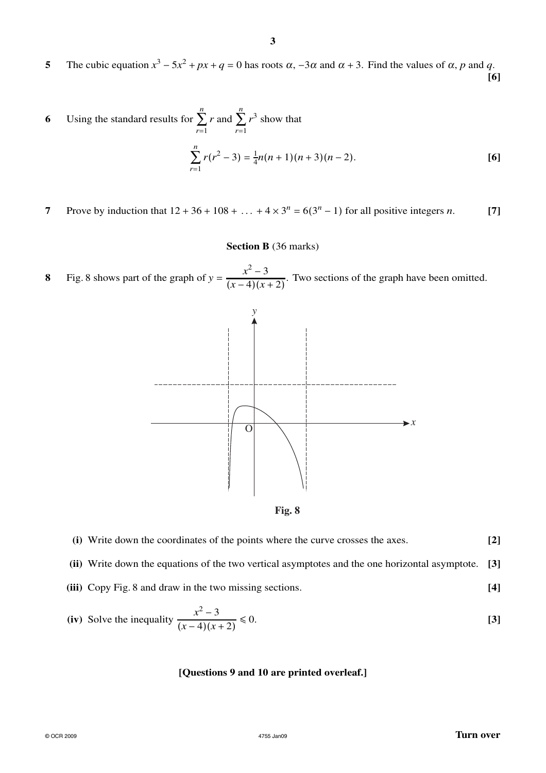**5** The cubic equation  $x^3 - 5x^2 + px + q = 0$  has roots  $\alpha$ ,  $-3\alpha$  and  $\alpha + 3$ . Find the values of  $\alpha$ , *p* and *q*. **[6]**

6 Using the standard results for 
$$
\sum_{r=1}^{n} r
$$
 and  $\sum_{r=1}^{n} r^3$  show that  

$$
\sum_{r=1}^{n} r(r^2 - 3) = \frac{1}{4}n(n+1)(n+3)(n-2).
$$
 [6]

**7** Prove by induction that  $12 + 36 + 108 + ... + 4 \times 3^n = 6(3^n - 1)$  for all positive integers *n*. [7]

## **Section B** (36 marks)

**8** Fig. 8 shows part of the graph of  $y = \frac{x^2 - 3}{(x - 4)(x - 3)}$  $\frac{x}{(x-4)(x+2)}$ . Two sections of the graph have been omitted.



| (i) Write down the coordinates of the points where the curve crosses the axes. | $[2]$ |
|--------------------------------------------------------------------------------|-------|
|                                                                                |       |

**(ii)** Write down the equations of the two vertical asymptotes and the one horizontal asymptote. **[3]**

**(iii)** Copy Fig. 8 and draw in the two missing sections. **[4]**

(iv) Solve the inequality 
$$
\frac{x^2 - 3}{(x - 4)(x + 2)} \le 0.
$$
 [3]

#### **[Questions 9 and 10 are printed overleaf.]**